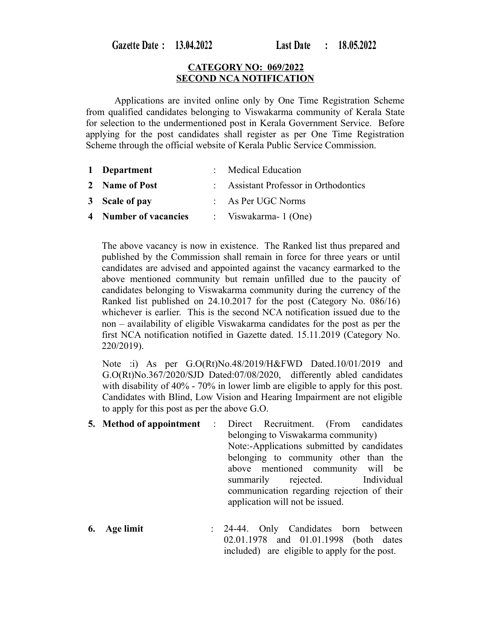Gazette Date: 13.04.2022

### **CATEGORY NO: 069/2022 SECOND NCA NOTIFICATION**

Applications are invited online only by One Time Registration Scheme from qualified candidates belonging to Viswakarma community of Kerala State for selection to the undermentioned post in Kerala Government Service. Before applying for the post candidates shall register as per One Time Registration Scheme through the official website of Kerala Public Service Commission.

| 1 Department          | : Medical Education                   |
|-----------------------|---------------------------------------|
| 2 Name of Post        | : Assistant Professor in Orthodontics |
| 3 Scale of pay        | $:$ As Per UGC Norms                  |
| 4 Number of vacancies | : Viswakarma- $1$ (One)               |

The above vacancy is now in existence. The Ranked list thus prepared and published by the Commission shall remain in force for three years or until candidates are advised and appointed against the vacancy earmarked to the above mentioned community but remain unfilled due to the paucity of candidates belonging to Viswakarma community during the currency of the Ranked list published on 24.10.2017 for the post (Category No. 086/16) whichever is earlier. This is the second NCA notification issued due to the non – availability of eligible Viswakarma candidates for the post as per the first NCA notification notified in Gazette dated. 15.11.2019 (Category No. 220/2019).

Note :i) As per G.O(Rt)No.48/2019/H&FWD Dated.10/01/2019 and G.O(Rt)No.367/2020/SJD Dated:07/08/2020, differently abled candidates with disability of 40% - 70% in lower limb are eligible to apply for this post. Candidates with Blind, Low Vision and Hearing Impairment are not eligible to apply for this post as per the above G.O.

- **5. Method of appointment** : Direct Recruitment. (From candidates belonging to Viswakarma community) Note:-Applications submitted by candidates belonging to community other than the above mentioned community will be summarily rejected. Individual communication regarding rejection of their application will not be issued.
- **6. Age limit** : 24-44. Only Candidates born between 02.01.1978 and 01.01.1998 (both dates included) are eligible to apply for the post.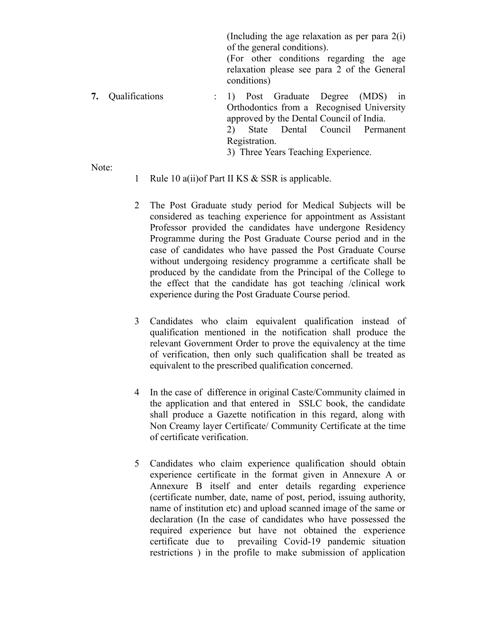(Including the age relaxation as per para 2(i) of the general conditions).

(For other conditions regarding the age relaxation please see para 2 of the General conditions)

**7.** Qualifications : 1) Post Graduate Degree (MDS) in Orthodontics from a Recognised University approved by the Dental Council of India. 2) State Dental Council Permanent Registration. 3) Three Years Teaching Experience.

Note:

- 1 Rule 10 a(ii)of Part II KS & SSR is applicable.
- 2 The Post Graduate study period for Medical Subjects will be considered as teaching experience for appointment as Assistant Professor provided the candidates have undergone Residency Programme during the Post Graduate Course period and in the case of candidates who have passed the Post Graduate Course without undergoing residency programme a certificate shall be produced by the candidate from the Principal of the College to the effect that the candidate has got teaching /clinical work experience during the Post Graduate Course period.
- 3 Candidates who claim equivalent qualification instead of qualification mentioned in the notification shall produce the relevant Government Order to prove the equivalency at the time of verification, then only such qualification shall be treated as equivalent to the prescribed qualification concerned.
- 4 In the case of difference in original Caste/Community claimed in the application and that entered in SSLC book, the candidate shall produce a Gazette notification in this regard, along with Non Creamy layer Certificate/ Community Certificate at the time of certificate verification.
- 5 Candidates who claim experience qualification should obtain experience certificate in the format given in Annexure A or Annexure B itself and enter details regarding experience (certificate number, date, name of post, period, issuing authority, name of institution etc) and upload scanned image of the same or declaration (In the case of candidates who have possessed the required experience but have not obtained the experience certificate due to prevailing Covid-19 pandemic situation restrictions ) in the profile to make submission of application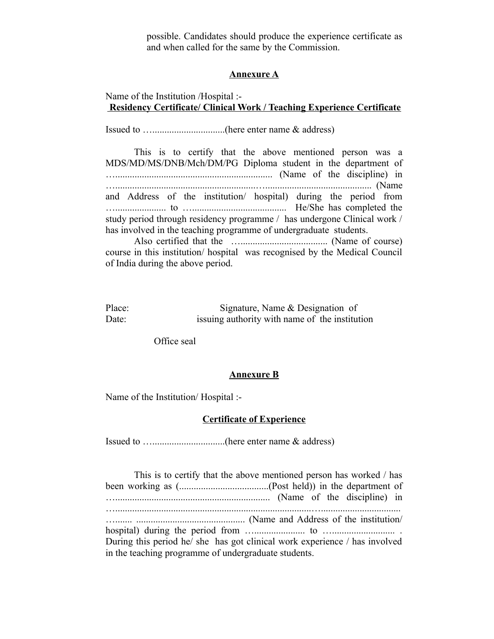possible. Candidates should produce the experience certificate as and when called for the same by the Commission.

#### **Annexure A**

# Name of the Institution /Hospital :-  **Residency Certificate/ Clinical Work / Teaching Experience Certificate**

Issued to …..............................(here enter name & address)

This is to certify that the above mentioned person was a MDS/MD/MS/DNB/Mch/DM/PG Diploma student in the department of …................................................................. (Name of the discipline) in …..........................................................…............................................ (Name and Address of the institution/ hospital) during the period from …..................... to …....................................... He/She has completed the study period through residency programme / has undergone Clinical work / has involved in the teaching programme of undergraduate students.

Also certified that the ….................................... (Name of course) course in this institution/ hospital was recognised by the Medical Council of India during the above period.

| Place: | Signature, Name & Designation of               |
|--------|------------------------------------------------|
| Date:  | is is a authority with name of the institution |

Office seal

### **Annexure B**

Name of the Institution/ Hospital :-

#### **Certificate of Experience**

Issued to …..............................(here enter name & address)

This is to certify that the above mentioned person has worked / has been working as (.....................................(Post held)) in the department of …................................................................ (Name of the discipline) in ….................................................................................…................................. …....... ............................................. (Name and Address of the institution/ hospital) during the period from …..................... to ….......................... . During this period he/ she has got clinical work experience / has involved in the teaching programme of undergraduate students.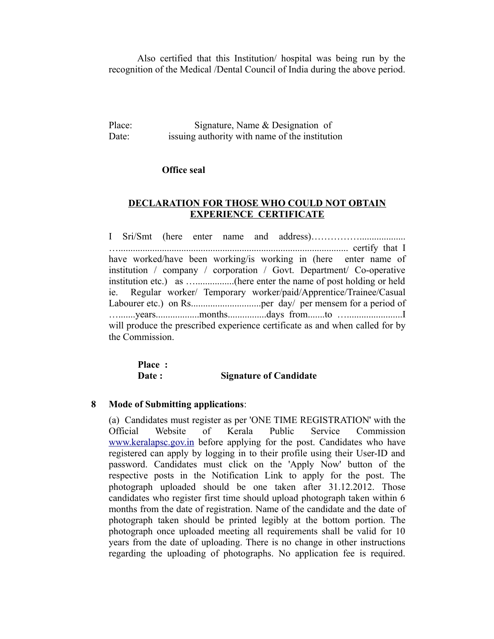Also certified that this Institution/ hospital was being run by the recognition of the Medical /Dental Council of India during the above period.

Place: Signature, Name & Designation of Date: issuing authority with name of the institution

### **Office seal**

# **DECLARATION FOR THOSE WHO COULD NOT OBTAIN EXPERIENCE CERTIFICATE**

I Sri/Smt (here enter name and address)……………................... …............................................................................................... certify that I have worked/have been working/is working in (here enter name of institution / company / corporation / Govt. Department/ Co-operative institution etc.) as …................(here enter the name of post holding or held ie. Regular worker/ Temporary worker/paid/Apprentice/Trainee/Casual Labourer etc.) on Rs.............................per day/ per mensem for a period of ….......years..................months................days from.......to ….......................I will produce the prescribed experience certificate as and when called for by the Commission.

| Place: |                               |
|--------|-------------------------------|
| Date:  | <b>Signature of Candidate</b> |

# **8 Mode of Submitting applications**:

(a) Candidates must register as per 'ONE TIME REGISTRATION' with the Official Website of Kerala Public Service Commission [www.keralapsc.gov.in](http://www.kerealapsc.gov.in/) before applying for the post. Candidates who have registered can apply by logging in to their profile using their User-ID and password. Candidates must click on the 'Apply Now' button of the respective posts in the Notification Link to apply for the post. The photograph uploaded should be one taken after 31.12.2012. Those candidates who register first time should upload photograph taken within 6 months from the date of registration. Name of the candidate and the date of photograph taken should be printed legibly at the bottom portion. The photograph once uploaded meeting all requirements shall be valid for 10 years from the date of uploading. There is no change in other instructions regarding the uploading of photographs. No application fee is required.